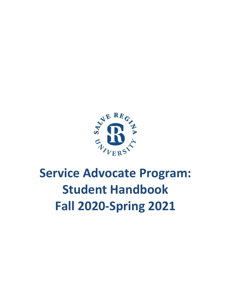

# **Service Advocate Program: Student Handbook Fall 2020-Spring 2021**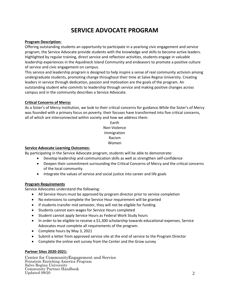### **SERVICE ADVOCATE PROGRAM**

#### **Program Description:**

Offering outstanding students an opportunity to participate in a yearlong civic engagement and service program, the Service Advocate provide students with the knowledge and skills to become active leaders. Highlighted by regular training, direct service and reflection activities, students engage in valuable leadership experiences in the Aquidneck Island Community and endeavors to promote a positive culture of service and civic engagement on campus.

This service and leadership program is designed to help inspire a sense of real community activism among undergraduate students, promoting change throughout their time at Salve Regina University. Creating leaders in service through dedication, passion and motivation are the goals of the program. An outstanding student who commits to leadership through service and making positive changes across campus and in the community describes a Service Advocate.

#### **Critical Concerns of Mercy:**

As a Sister's of Mercy institution, we look to their critical concerns for guidance.While the Sister's of Mercy was founded with a primary focus on poverty, their focuses have transformed into five critical concerns, all of which are interconnected within society and how we address them:

> Earth Non-Violence Immigration Racism Women

#### **Service Advocate Learning Outcomes:**

By participating in the Service Advocate program, students will be able to demonstrate:

- Develop leadership and communication skills as well as strengthen self-confidence
- Deepen their commitment surrounding the Critical Concerns of Mercy and the critical concerns of the local community
- Integrate the values of service and social justice into career and life goals

#### **Program Requirements**

Service Advocates understand the following:

- All Service Hours must be approved by program director prior to service completion
- No extensions to complete the Service Hour requirement will be granted
- If students transfer mid semester, they will not be eligible for funding
- Students cannot earn wages for Service Hours completed
- Student cannot apply Service Hours as Federal Work Study hours
- In order to be eligible to receive a \$1,300 scholarship towards educational expenses, Service Advocates must complete all requirements of the program.
- Complete hours by May 3, 2021
- Submit a letter from approved service site at the end of service to the Program Director
- Complete the online exit survey from the Center and the Grow survey

#### **Partner Sites 2020-2021:**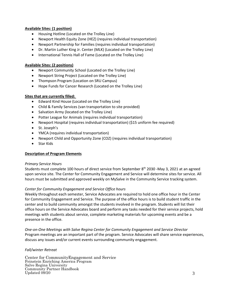#### **Available Sites: (1 position)**

- Housing Hotline (Located on the Trolley Line)
- Newport Health Equity Zone (HEZ) (requires individual transportation)
- Newport Partnership for Families (requires individual transportation)
- Dr. Martin Luther King Jr. Center (MLK) (Located on the Trolley Line)
- International Tennis Hall of Fame (Located on the Trolley Line)

#### **Available Sites: (2 positions)**

- Newport Community School (Located on the Trolley Line)
- Newport String Project (Located on the Trolley Line)
- Thompson Program (Location on SRU Campus)
- Hope Funds for Cancer Research (Located on the Trolley Line)

#### **Sites that are currently filled:**

- Edward Kind House (Located on the Trolley Line)
- Child & Family Services (van transportation to site provided)
- Salvation Army (located on the Trolley Line)
- Potter League for Animals (requires individual transportation)
- Newport Hospital (requires individual transportation) (\$15 uniform fee required)
- St. Joseph's
- YMCA (requires individual transportation)
- Newport Child and Opportunity Zone (COZ) (requires individual transportation)
- Star Kids

#### **Description of Program Elements**

#### *Primary Service Hours*

Students must complete 100 hours of direct service from September 8<sup>th</sup> 2030 -May 3, 2021 at an agreed upon service site. The Center for Community Engagement and Service will determine sites for service. All hours must be submitted and approved weekly on MySalve in the Community Service tracking system.

#### *Center for Community Engagement and Service Office hours*

Weekly throughout each semester, Service Advocates are required to hold one office hour in the Center for Community Engagement and Service. The purpose of the office hours is to build student traffic in the center and to build community amongst the students involved in the program. Students will list their office hours on the Service Advocates board and perform any tasks needed for their service projects, hold meetings with students about service, complete marketing materials for upcoming events and be a presence in the office.

*One-on-One Meetings with Salve Regina Center for Community Engagement and Service Director* Program meetings are an important part of the program. Service Advocates will share service experiences, discuss any issues and/or current events surrounding community engagement.

#### *Fall/winter Retreat*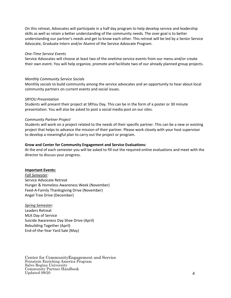On this retreat, Advocates will participate in a half day program to help develop service and leadership skills as well as retain a better understanding of the community needs. The over goal is to better understanding our partner's needs and get to know each other. This retreat will be led by a Senior Service Advocate, Graduate Intern and/or Alumni of the Service Advocate Program.

#### *One-Time Service Events*

Service Advocates will choose at least two of the onetime service events from our menu and/or create their own event. You will help organize, promote and facilitate two of our already planned group projects.

#### *Monthly Community Service Socials*

Monthly socials to build community among the service advocates and an opportunity to hear about local community partners on current events and social issues.

#### *SRYOU Presentation*

Students will present their project at SRYou Day. This can be in the form of a poster or 30 minute presentation. You will also be asked to post a social media post on our sites.

#### *Community Partner Project*

Students will work on a project related to the needs of their specific partner. This can be a new or existing project that helps to advance the mission of their partner. Please work closely with your host supervisor to develop a meaningful plan to carry out the project or program.

#### **Grow and Center for Community Engagement and Service Evaluations:**

At the end of each semester you will be asked to fill out the required online evaluations and meet with the director to discuss your progress.

#### **Important Events:**

*Fall Semester:* Service Advocate Retreat Hunger & Homeless Awareness Week (November) Feed-A-Family Thanksgiving Drive (November) Angel Tree Drive (December)

*Spring Semester:* Leaders Retreat MLK Day of Service Suicide Awareness Day Shoe Drive (April) Rebuilding Together (April) End-of-the-Year Yard Sale (May)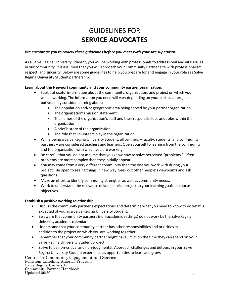### GUIDELINES FOR **SERVICE ADVOCATES**

#### *We encourage you to review these guidelines before you meet with your site supervisor*

As a Salve Regina University Student, you will be working with professionals to address real and vital issues in our community. It is assumed that you will approach your Community Partner site with professionalism, respect, and sincerity. Below are some guidelines to help you prepare for and engage in your role as a Salve Regina University Student partnership:

#### **Learn about the Newport community and your community partner organization.**

- Seek out useful information about the community, organization, and project on which you will be working. The information you need will vary depending on your particular project, but you may consider learning about:
	- The population and/or geographic area being served by your partner organization
	- The organization's mission statement
	- The names of the organization's staff and their responsibilities and roles within the organization
	- A brief history of the organization
	- The role that volunteers play in the organization
- While being a Salve Regina University Student, all partners faculty, students, and community partners – are considered teachers and learners. Open yourself to learning from the community and the organization with which you are working.
- Be careful that you do not assume that you know how to solve perceived "problems." Often problems are more complex than they initially appear.
- You may come from a very different community than the one you work with during your project. Be open to seeing things in new way. Seek out other people's viewpoints and ask questions.
- Make an effort to identify community strengths, as well as community needs.
- Work to understand the relevance of your service project to your learning goals or course objectives.

#### **Establish a positive working relationship.**

- Discussthe community partner's expectations and determine what you need to know to do what is expected of you as a Salve Regina University Student.
- Be aware that community partners (non-academic settings) do not work by the Salve Regina University academic calendar.
- Understand that your community partner has other responsibilities and priorities in addition to the project on which you are working together.
- Remember that your community partner might have limits on the time they can spend on your Salve Regina University Student project.
- Strive to be non-critical and non-judgmental. Approach challenges and detours in your Salve Regina University Student experience as opportunities to learn and grow.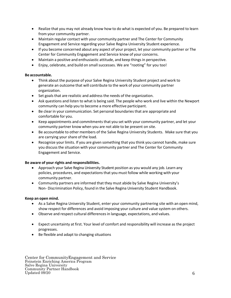- Realize that you may not already know how to do what is expected of you. Be prepared to learn from your community partner.
- Maintain regular contact with your community partner and The Center for Community Engagement and Service regarding your Salve Regina University Student experience.
- If you become concerned about any aspect of your project, let your community partner or The Center for Community Engagement and Service know of your concerns.
- Maintain a positive and enthusiastic attitude, and keep things in perspective.
- Enjoy, celebrate, and build on small successes. We are "rooting" for you too!

#### **Be accountable.**

- Think about the purpose of your Salve Regina University Student project and work to generate an outcome that will contribute to the work of your community partner organization.
- Set goals that are realistic and address the needs of the organization.
- Ask questions and listen to what is being said. The people who work and live within the Newport community can help you to become a more effective participant.
- Be clear in your communication. Set personal boundaries that are appropriate and comfortable for you.
- Keep appointments and commitments that you set with your community partner, and let your community partner know when you are not able to be present on site.
- Be accountable to other members of the Salve Regina University Students. Make sure that you are carrying your share of the load.
- Recognize your limits. If you are given something that you think you cannot handle, make sure you discussthe situation with your community partner and The Center for Community Engagement and Service.

#### **Be aware of your rights and responsibilities.**

- Approach your Salve Regina University Student position as you would any job. Learn any policies, procedures, and expectationsthat you must follow while working with your community partner.
- Community partners are informed that they must abide by Salve Regina University's Non- Discrimination Policy, found in the Salve Regina University Student Handbook.

#### **Keep an open mind.**

- As a Salve Regina University Student, enter your community partnering site with an open mind, show respect for differences and avoid imposing your culture and value system on others.
- Observe and respect cultural differencesin language, expectations, and values.
- Expect uncertainty at first. Your level of comfort and responsibility will increase as the project progresses.
- Be flexible and adapt to changing situations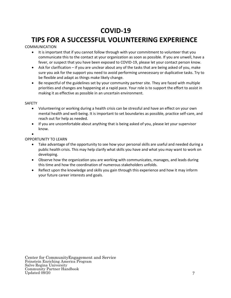### **COVID-19**

### **TIPS FOR A SUCCESSFUL VOLUNTEERING EXPERIENCE**

COMMUNICATION

- It is important that if you cannot follow through with your commitment to volunteer that you communicate this to the contact at your organization as soon as possible. If you are unwell, have a fever, or suspect that you have been exposed to COVID-19, please let your contact person know.
- Ask for clarification if you are unclear about any of the tasks that are being asked of you, make sure you ask for the support you need to avoid performing unnecessary or duplicative tasks. Try to be flexible and adapt as things make likely change.
- Be respectful of the guidelines set by your community partner site. They are faced with multiple priorities and changes are happening at a rapid pace. Your role is to support the effort to assist in making it as effective as possible in an uncertain environment.

#### SAFETY

- Volunteering or working during a health crisis can be stressful and have an effect on your own mental health and well-being. It is important to set boundaries as possible, practice self-care, and reach out for help as needed.
- If you are uncomfortable about anything that is being asked of you, please let your supervisor know.
- •

#### OPPORTUNITY TO LEARN

- Take advantage of the opportunity to see how your personal skills are useful and needed during a public health crisis. This may help clarify what skills you have and what you may want to work on developing.
- Observe how the organization you are working with communicates, manages, and leads during this time and how the coordination of numerous stakeholders unfolds.
- Reflect upon the knowledge and skills you gain through this experience and how it may inform your future career interests and goals.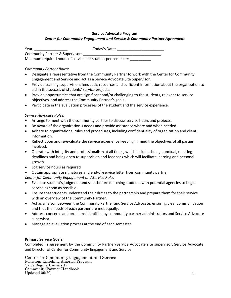#### **Service Advocate Program**

#### *Center for Community Engagement and Service & Community Partner Agreement*

| Year:                           | Today's Date: |
|---------------------------------|---------------|
| Community Partner & Supervisor: |               |

Minimum required hours of service per student per semester:

#### *Community Partner Roles:*

- Designate a representative from the Community Partner to work with the Center for Community Engagement and Service and act as a Service Advocate Site Supervisor.
- Provide training, supervision, feedback, resources and sufficient information about the organization to aid in the success of students' service projects.
- Provide opportunities that are significant and/or challenging to the students, relevant to service objectives, and address the Community Partner's goals.
- Participate in the evaluation processes of the student and the service experience.

#### *Service Advocate Roles:*

- Arrange to meet with the community partner to discuss service hours and projects.
- Be aware of the organization's needs and provide assistance where and when needed.
- Adhere to organizational rules and procedures, including confidentiality of organization and client information.
- Reflect upon and re-evaluate the service experience keeping in mind the objectives of all parties involved.
- Operate with integrity and professionalism at all times; which includes being punctual, meeting deadlines and being open to supervision and feedback which will facilitate learning and personal growth.
- Log service hours as required
- Obtain appropriate signatures and end-of-service letter from community partner

*Center for Community Engagement and Service Roles*

- Evaluate student's judgment and skills before matching students with potential agencies to begin service as soon as possible.
- Ensure that students understand their duties to the partnership and prepare them for their service with an overview of the Community Partner.
- Act as a liaison between the Community Partner and Service Advocate, ensuring clear communication and that the needs of each partner are met equally.
- Address concerns and problems identified by community partner administrators and Service Advocate supervisor.
- Manage an evaluation process at the end of each semester.

#### **Primary Service Goals:**

Completed in agreement by the Community Partner/Service Advocate site supervisor, Service Advocate, and Director of Center for Community Engagement and Service.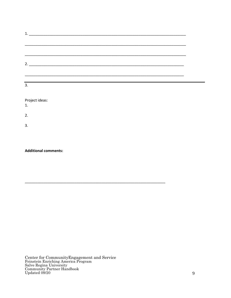| $2.$ $\overline{\phantom{a}}$ |  |  |  |
|-------------------------------|--|--|--|
|                               |  |  |  |
|                               |  |  |  |
|                               |  |  |  |

Project ideas:

 $1.$ 

 $2.$ 

 $3.$ 

**Additional comments:**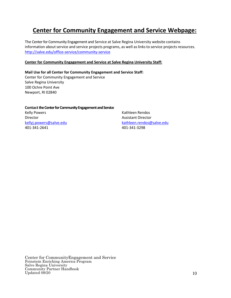### **Center for Community Engagement and Service Webpage:**

The Center for Community Engagement and Service at Salve Regina University website contains information about service and service projects programs, as well as links to service projects resources. <http://salve.edu/office-service/community-service>

#### **Center for Community Engagement and Service at Salve Regina University Staff:**

**Mail Use for all Center for Community Engagement and Service Staff:** Center for Community Engagement and Service Salve Regina University 100 Ochre Point Ave Newport, RI 02840

#### **Contact the Center for Community Engagement and Service**

Kelly Powers **Kathleen Rendos** Kathleen Rendos Director **Assistant Director** Assistant Director 401-341-2641 401-341-3298

[kellyj.powers@salve.edu](mailto:kellyj.powers@salve.edu) [kathleen.rendos@salve.edu](mailto:kathleen.rendos@salve.edu)